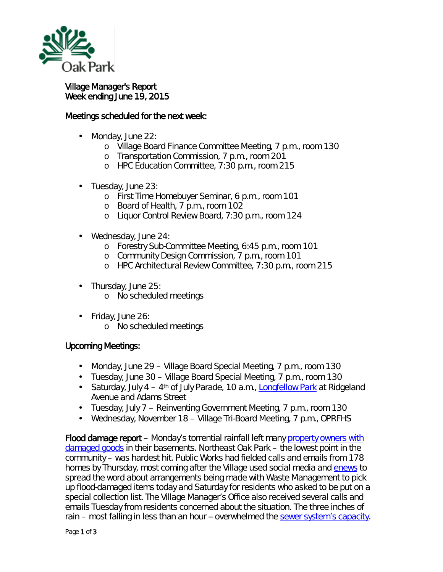

## Village Manager's Report Week ending June 19, 2015

## Meetings scheduled for the next week:

- Monday, June 22:
	- o Village Board Finance Committee Meeting, 7 p.m., room 130
	- o Transportation Commission, 7 p.m., room 201
	- o HPC Education Committee, 7:30 p.m., room 215
- Tuesday, June 23: ò,
	- o First Time Homebuyer Seminar, 6 p.m., room 101
	- o Board of Health, 7 p.m., room 102
	- o Liquor Control Review Board, 7:30 p.m., room 124
- Wednesday, June 24: ä,
	- o Forestry Sub-Committee Meeting, 6:45 p.m., room 101
	- o Community Design Commission, 7 p.m., room 101
	- o HPC Architectural Review Committee, 7:30 p.m., room 215
- . Thursday, June 25:
	- o No scheduled meetings
- ä, Friday, June 26:
	- o No scheduled meetings

## Upcoming Meetings:

- Monday, June 29 Village Board Special Meeting, 7 p.m., room 130
- Tuesday, June 30 Village Board Special Meeting, 7 p.m., room 130
- Saturday, July  $4 4$ <sup>th</sup> of July Parade, 10 a.m., [Longfellow Park](http://www.pdop.org/parks/pf_14.htm) at Ridgeland Avenue and Adams Street
- Tuesday, July 7 Reinventing Government Meeting, 7 p.m., room 130
- Wednesday, November 18 Village Tri-Board Meeting, 7 p.m., OPRFHS

Flood damage report – Monday's torrential rainfall left many [property owners with](http://www.oak-park.us/news/rain-overwhelms-sewer-system)  [damaged goods](http://www.oak-park.us/news/rain-overwhelms-sewer-system) in their basements. Northeast Oak Park – the lowest point in the community – was hardest hit. Public Works had fielded calls and emails from 178 homes by Thursday, most coming after the Village used social media and *[enews](http://www.oak-park.us/your-government/village-manager/public-information/receive-official-news-e-mail)* to spread the word about arrangements being made with Waste Management to pick up flood-damaged items today and Saturday for residents who asked to be put on a special collection list. The Village Manager's Office also received several calls and emails Tuesday from residents concerned about the situation. The three inches of rain – most falling in less than an hour -- overwhelmed the [sewer system's capacity.](http://www.oak-park.us/village-services/public-works/basement-flooding-prevention)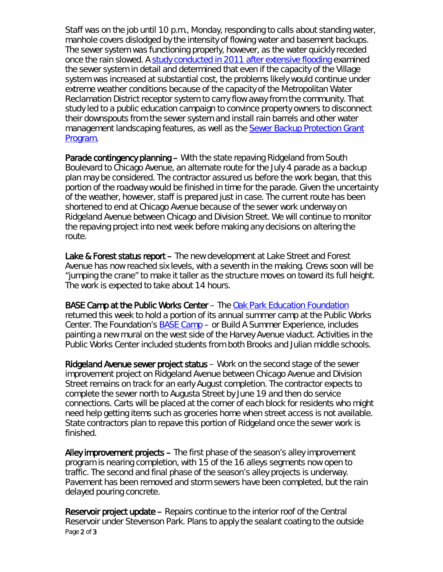Staff was on the job until 10 p.m., Monday, responding to calls about standing water, manhole covers dislodged by the intensity of flowing water and basement backups. The sewer system was functioning properly, however, as the water quickly receded once the rain slowed. A [study conducted in 2011 after extensive flooding](http://www.oak-park.us/sites/default/files/456678891/2011-10-13-oak-park-sewer-study.pdf) examined the sewer system in detail and determined that even if the capacity of the Village system was increased at substantial cost, the problems likely would continue under extreme weather conditions because of the capacity of the Metropolitan Water Reclamation District receptor system to carry flow away from the community. That study led to a public education campaign to convince property owners to disconnect their downspouts from the sewer system and install rain barrels and other water management landscaping features, as well as the Sewer Backup Protection Grant [Program.](http://www.oak-park.us/village-services/housing-programs/sewer-backup-protection-grant)

Parade contingency planning – With the state repaving Ridgeland from South Boulevard to Chicago Avenue, an alternate route for the July 4 parade as a backup plan may be considered. The contractor assured us before the work began, that this portion of the roadway would be finished in time for the parade. Given the uncertainty of the weather, however, staff is prepared just in case. The current route has been shortened to end at Chicago Avenue because of the sewer work underway on Ridgeland Avenue between Chicago and Division Street. We will continue to monitor the repaving project into next week before making any decisions on altering the route.

Lake & Forest status report – The new development at Lake Street and Forest Avenue has now reached six levels, with a seventh in the making. Crews soon will be "jumping the crane" to make it taller as the structure moves on toward its full height. The work is expected to take about 14 hours.

BASE Camp at the Public Works Center – The [Oak Park Education Foundation](http://www.opef.org/) returned this week to hold a portion of its annual summer camp at the Public Works Center. The Foundation's [BASE Camp](http://www.opef.org/basecamp/) – or *Build A Summer Experience*, includes painting a new mural on the west side of the Harvey Avenue viaduct. Activities in the Public Works Center included students from both Brooks and Julian middle schools.

Ridgeland Avenue sewer project status – Work on the second stage of the sewer improvement project on Ridgeland Avenue between Chicago Avenue and Division Street remains on track for an early August completion. The contractor expects to complete the sewer north to Augusta Street by June 19 and then do service connections. Carts will be placed at the corner of each block for residents who might need help getting items such as groceries home when street access is not available. State contractors plan to repave this portion of Ridgeland once the sewer work is finished.

Alley improvement projects - The first phase of the season's alley improvement program is nearing completion, with 15 of the 16 alleys segments now open to traffic. The second and final phase of the season's alley projects is underway. Pavement has been removed and storm sewers have been completed, but the rain delayed pouring concrete.

Page 2 of 3 Reservoir project update – Repairs continue to the interior roof of the Central Reservoir under Stevenson Park. Plans to apply the sealant coating to the outside